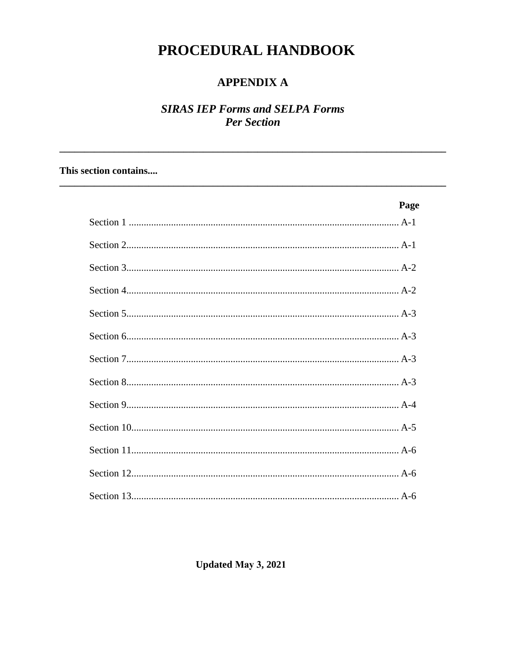# PROCEDURAL HANDBOOK

### **APPENDIX A**

### **SIRAS IEP Forms and SELPA Forms Per Section**

#### This section contains....

| Page |
|------|
|      |
|      |
|      |
|      |
|      |
|      |
|      |
|      |
|      |
|      |
|      |
|      |
|      |

**Updated May 3, 2021**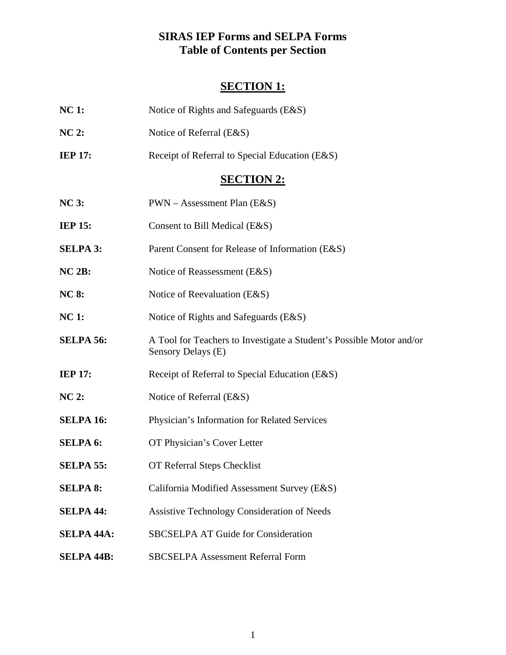### **SIRAS IEP Forms and SELPA Forms Table of Contents per Section**

## **SECTION 1:**

| <b>NC1:</b>       | Notice of Rights and Safeguards (E&S)                                                      |
|-------------------|--------------------------------------------------------------------------------------------|
| <b>NC 2:</b>      | Notice of Referral (E&S)                                                                   |
| <b>IEP 17:</b>    | Receipt of Referral to Special Education (E&S)                                             |
|                   | <b>SECTION 2:</b>                                                                          |
| <b>NC 3:</b>      | $PWN - Assessment Plan (E&S)$                                                              |
| <b>IEP 15:</b>    | Consent to Bill Medical (E&S)                                                              |
| <b>SELPA 3:</b>   | Parent Consent for Release of Information (E&S)                                            |
| NC 2B:            | Notice of Reassessment (E&S)                                                               |
| <b>NC 8:</b>      | Notice of Reevaluation (E&S)                                                               |
| <b>NC1:</b>       | Notice of Rights and Safeguards (E&S)                                                      |
| <b>SELPA 56:</b>  | A Tool for Teachers to Investigate a Student's Possible Motor and/or<br>Sensory Delays (E) |
| <b>IEP 17:</b>    | Receipt of Referral to Special Education (E&S)                                             |
| <b>NC 2:</b>      | Notice of Referral (E&S)                                                                   |
| <b>SELPA 16:</b>  | Physician's Information for Related Services                                               |
| <b>SELPA 6:</b>   | OT Physician's Cover Letter                                                                |
| <b>SELPA 55:</b>  | OT Referral Steps Checklist                                                                |
| <b>SELPA 8:</b>   | California Modified Assessment Survey (E&S)                                                |
| <b>SELPA 44:</b>  | <b>Assistive Technology Consideration of Needs</b>                                         |
| <b>SELPA 44A:</b> | <b>SBCSELPA AT Guide for Consideration</b>                                                 |
| <b>SELPA 44B:</b> | <b>SBCSELPA Assessment Referral Form</b>                                                   |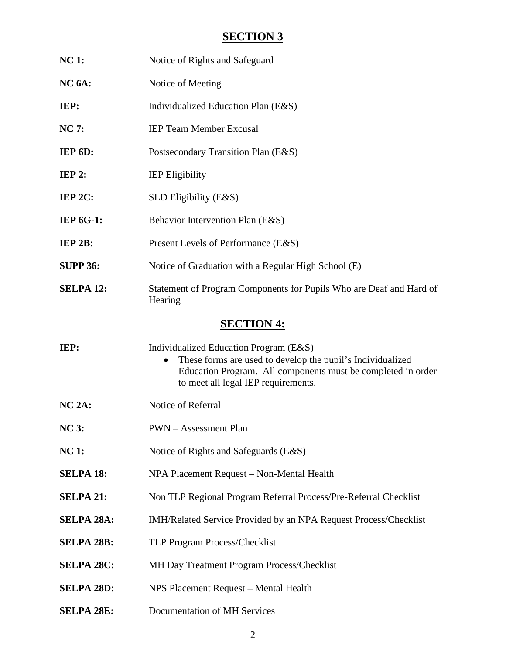## **SECTION 3**

| <b>NC 1:</b>       | Notice of Rights and Safeguard                                                                                                                                                                              |  |  |
|--------------------|-------------------------------------------------------------------------------------------------------------------------------------------------------------------------------------------------------------|--|--|
| NC <sub>6A</sub> : | Notice of Meeting                                                                                                                                                                                           |  |  |
| IEP:               | Individualized Education Plan (E&S)                                                                                                                                                                         |  |  |
| <b>NC 7:</b>       | <b>IEP Team Member Excusal</b>                                                                                                                                                                              |  |  |
| IEP 6D:            | Postsecondary Transition Plan (E&S)                                                                                                                                                                         |  |  |
| IEP2:              | <b>IEP Eligibility</b>                                                                                                                                                                                      |  |  |
| IEP 2C:            | SLD Eligibility (E&S)                                                                                                                                                                                       |  |  |
| <b>IEP 6G-1:</b>   | Behavior Intervention Plan (E&S)                                                                                                                                                                            |  |  |
| IEP 2B:            | Present Levels of Performance (E&S)                                                                                                                                                                         |  |  |
| <b>SUPP 36:</b>    | Notice of Graduation with a Regular High School (E)                                                                                                                                                         |  |  |
| <b>SELPA 12:</b>   | Statement of Program Components for Pupils Who are Deaf and Hard of<br>Hearing                                                                                                                              |  |  |
|                    | <b>SECTION 4:</b>                                                                                                                                                                                           |  |  |
| IEP:               | Individualized Education Program (E&S)<br>These forms are used to develop the pupil's Individualized<br>Education Program. All components must be completed in order<br>to meet all legal IEP requirements. |  |  |
| $NC 2A$ :          | Notice of Referral                                                                                                                                                                                          |  |  |
| <b>NC 3:</b>       | <b>PWN</b> – Assessment Plan                                                                                                                                                                                |  |  |
| <b>NC1:</b>        | Notice of Rights and Safeguards (E&S)                                                                                                                                                                       |  |  |
| <b>SELPA 18:</b>   | NPA Placement Request - Non-Mental Health                                                                                                                                                                   |  |  |
| <b>SELPA 21:</b>   | Non TLP Regional Program Referral Process/Pre-Referral Checklist                                                                                                                                            |  |  |
| <b>SELPA 28A:</b>  | IMH/Related Service Provided by an NPA Request Process/Checklist                                                                                                                                            |  |  |
| <b>SELPA 28B:</b>  | TLP Program Process/Checklist                                                                                                                                                                               |  |  |
| <b>SELPA 28C:</b>  | MH Day Treatment Program Process/Checklist                                                                                                                                                                  |  |  |
| <b>SELPA 28D:</b>  | NPS Placement Request - Mental Health                                                                                                                                                                       |  |  |
| <b>SELPA 28E:</b>  | Documentation of MH Services                                                                                                                                                                                |  |  |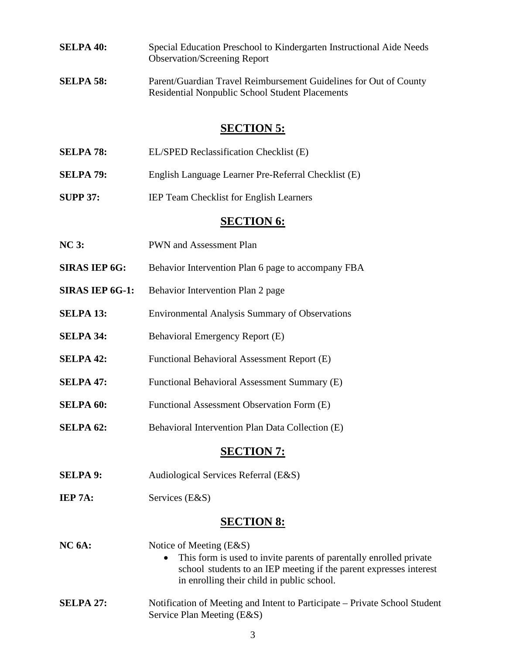- **SELPA 40:** Special Education Preschool to Kindergarten Instructional Aide Needs Observation/Screening Report
- **SELPA 58:** Parent/Guardian Travel Reimbursement Guidelines for Out of County Residential Nonpublic School Student Placements

#### **SECTION 5:**

- **SELPA 78:** EL/SPED Reclassification Checklist (E)
- **SELPA 79:** English Language Learner Pre-Referral Checklist (E)
- **SUPP 37:** IEP Team Checklist for English Learners

#### **SECTION 6:**

- **NC 3:** PWN and Assessment Plan
- **SIRAS IEP 6G:** Behavior Intervention Plan 6 page to accompany FBA
- **SIRAS IEP 6G-1:** Behavior Intervention Plan 2 page
- **SELPA 13:** Environmental Analysis Summary of Observations
- **SELPA 34:** Behavioral Emergency Report (E)
- **SELPA 42:** Functional Behavioral Assessment Report (E)
- **SELPA 47:** Functional Behavioral Assessment Summary (E)
- **SELPA 60:** Functional Assessment Observation Form (E)
- **SELPA 62:** Behavioral Intervention Plan Data Collection (E)

#### **SECTION 7:**

- **SELPA 9:** Audiological Services Referral (E&S)
- **IEP 7A:** Services (E&S)

#### **SECTION 8:**

| NC <sub>6A</sub> | Notice of Meeting $(E & S)$<br>This form is used to invite parents of parentally enrolled private<br>$\bullet$<br>school students to an IEP meeting if the parent expresses interest<br>in enrolling their child in public school. |
|------------------|------------------------------------------------------------------------------------------------------------------------------------------------------------------------------------------------------------------------------------|
| <b>SELPA 27:</b> | Notification of Meeting and Intent to Participate – Private School Student<br>Service Plan Meeting (E&S)                                                                                                                           |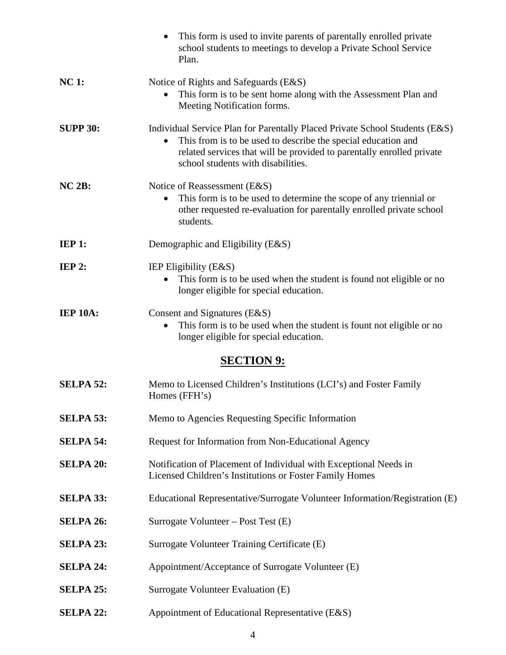|                  | This form is used to invite parents of parentally enrolled private<br>$\bullet$<br>school students to meetings to develop a Private School Service<br>Plan.                                                                                                 |
|------------------|-------------------------------------------------------------------------------------------------------------------------------------------------------------------------------------------------------------------------------------------------------------|
| <b>NC1:</b>      | Notice of Rights and Safeguards (E&S)<br>This form is to be sent home along with the Assessment Plan and<br>Meeting Notification forms.                                                                                                                     |
| <b>SUPP 30:</b>  | Individual Service Plan for Parentally Placed Private School Students (E&S)<br>This from is to be used to describe the special education and<br>related services that will be provided to parentally enrolled private<br>school students with disabilities. |
| NC 2B:           | Notice of Reassessment (E&S)<br>This form is to be used to determine the scope of any triennial or<br>other requested re-evaluation for parentally enrolled private school<br>students.                                                                     |
| IEP1:            | Demographic and Eligibility (E&S)                                                                                                                                                                                                                           |
| <b>IEP 2:</b>    | IEP Eligibility (E&S)<br>This form is to be used when the student is found not eligible or no<br>longer eligible for special education.                                                                                                                     |
| <b>IEP 10A:</b>  | Consent and Signatures (E&S)<br>This form is to be used when the student is fount not eligible or no<br>$\bullet$<br>longer eligible for special education.                                                                                                 |
|                  | <b>SECTION 9:</b>                                                                                                                                                                                                                                           |
| <b>SELPA 52:</b> | Memo to Licensed Children's Institutions (LCI's) and Foster Family<br>Homes (FFH's)                                                                                                                                                                         |
| <b>SELPA 53:</b> | Memo to Agencies Requesting Specific Information                                                                                                                                                                                                            |
| <b>SELPA 54:</b> | Request for Information from Non-Educational Agency                                                                                                                                                                                                         |
| <b>SELPA 20:</b> | Notification of Placement of Individual with Exceptional Needs in<br>Licensed Children's Institutions or Foster Family Homes                                                                                                                                |
| <b>SELPA 33:</b> | Educational Representative/Surrogate Volunteer Information/Registration (E)                                                                                                                                                                                 |
| <b>SELPA 26:</b> | Surrogate Volunteer – Post Test (E)                                                                                                                                                                                                                         |
| <b>SELPA 23:</b> | Surrogate Volunteer Training Certificate (E)                                                                                                                                                                                                                |
| <b>SELPA 24:</b> | Appointment/Acceptance of Surrogate Volunteer (E)                                                                                                                                                                                                           |
| <b>SELPA 25:</b> | Surrogate Volunteer Evaluation (E)                                                                                                                                                                                                                          |
| <b>SELPA 22:</b> | Appointment of Educational Representative (E&S)                                                                                                                                                                                                             |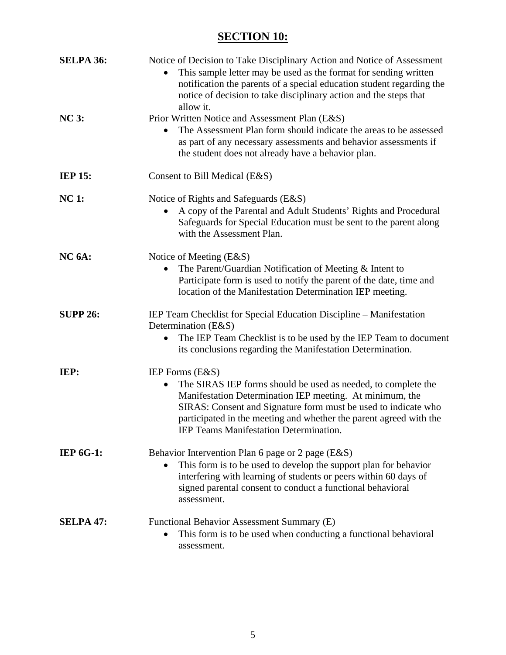# **SECTION 10:**

| <b>SELPA 36:</b> | Notice of Decision to Take Disciplinary Action and Notice of Assessment<br>This sample letter may be used as the format for sending written<br>notification the parents of a special education student regarding the<br>notice of decision to take disciplinary action and the steps that<br>allow it.                                             |
|------------------|----------------------------------------------------------------------------------------------------------------------------------------------------------------------------------------------------------------------------------------------------------------------------------------------------------------------------------------------------|
| <b>NC 3:</b>     | Prior Written Notice and Assessment Plan (E&S)<br>The Assessment Plan form should indicate the areas to be assessed<br>as part of any necessary assessments and behavior assessments if<br>the student does not already have a behavior plan.                                                                                                      |
| <b>IEP 15:</b>   | Consent to Bill Medical (E&S)                                                                                                                                                                                                                                                                                                                      |
| <b>NC 1:</b>     | Notice of Rights and Safeguards (E&S)<br>A copy of the Parental and Adult Students' Rights and Procedural<br>Safeguards for Special Education must be sent to the parent along<br>with the Assessment Plan.                                                                                                                                        |
| $NC6A$ :         | Notice of Meeting (E&S)<br>The Parent/Guardian Notification of Meeting & Intent to<br>$\bullet$<br>Participate form is used to notify the parent of the date, time and<br>location of the Manifestation Determination IEP meeting.                                                                                                                 |
| <b>SUPP 26:</b>  | IEP Team Checklist for Special Education Discipline – Manifestation<br>Determination (E&S)<br>The IEP Team Checklist is to be used by the IEP Team to document<br>its conclusions regarding the Manifestation Determination.                                                                                                                       |
| IEP:             | IEP Forms (E&S)<br>The SIRAS IEP forms should be used as needed, to complete the<br>$\bullet$<br>Manifestation Determination IEP meeting. At minimum, the<br>SIRAS: Consent and Signature form must be used to indicate who<br>participated in the meeting and whether the parent agreed with the<br><b>IEP Teams Manifestation Determination.</b> |
| <b>IEP 6G-1:</b> | Behavior Intervention Plan 6 page or 2 page (E&S)<br>This form is to be used to develop the support plan for behavior<br>$\bullet$<br>interfering with learning of students or peers within 60 days of<br>signed parental consent to conduct a functional behavioral<br>assessment.                                                                |
| <b>SELPA 47:</b> | Functional Behavior Assessment Summary (E)<br>This form is to be used when conducting a functional behavioral<br>$\bullet$<br>assessment.                                                                                                                                                                                                          |